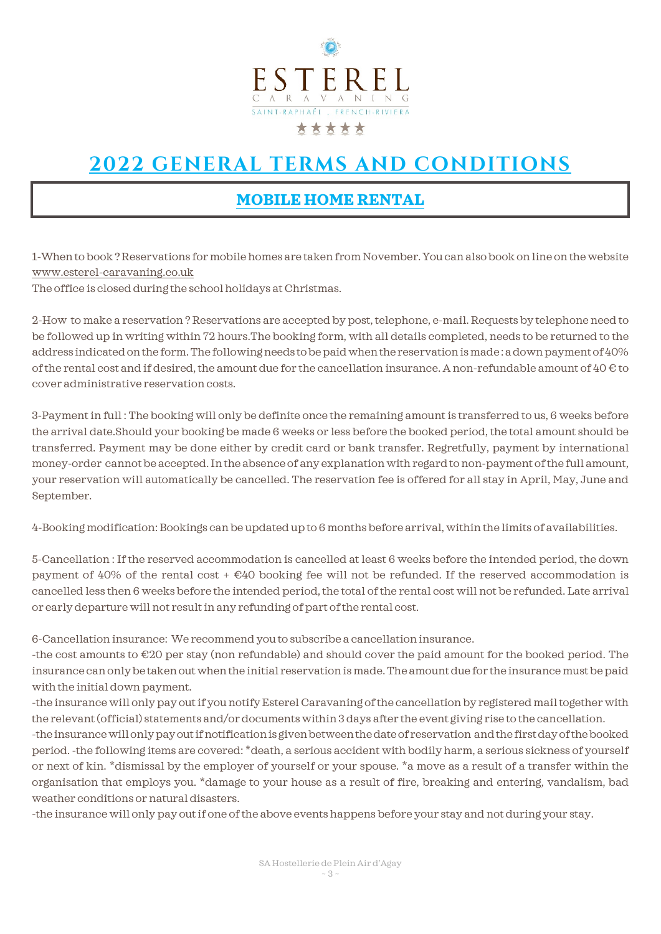

## **2022 GENERAL TERMS AND CONDITIONS**

## **MOBILE HOME RENTAL**

1-When to book ? Reservations for mobile homes are taken from November. You can alsobook on line on the website [www.esterel-caravaning.co.uk](http://www.esterel-caravaning.co.uk/)

The office is closed during the school holidays at Christmas.

2-How to make a reservation ? Reservations are accepted by post, telephone, e-mail. Requests by telephone need to be followed up in writing within 72 hours.The booking form, with all details completed, needs to be returned to the address indicated on the form. The following needs to be paid when the reservation is made : a down payment of 40% of the rental cost and if desired, the amount due for the cancellation insurance. A non-refundable amount of  $40 \text{ } \in$  to cover administrative reservation costs.

3-Payment in full : The booking will only be definite once the remaining amount is transferred to us, 6 weeks before the arrival date.Should your booking be made 6 weeks or less before the booked period, the total amount should be transferred. Payment may be done either by credit card or bank transfer. Regretfully, payment by international money-order cannot be accepted. In the absence of any explanation with regard to non-payment of the full amount, your reservation will automatically be cancelled. The reservation fee is offered for all stay in April, May, June and September.

4-Booking modification: Bookings can be updated up to 6 months before arrival, within the limits of availabilities.

5-Cancellation : If the reserved accommodation is cancelled at least 6 weeks before the intended period, the down payment of 40% of the rental cost  $+\epsilon$ 40 booking fee will not be refunded. If the reserved accommodation is cancelled less then 6 weeks before the intended period, the total of the rental cost will not be refunded. Late arrival or early departure will not result in any refunding of part of the rental cost.

6-Cancellation insurance: We recommend you to subscribe a cancellation insurance.

-the cost amounts to €20 per stay (non refundable) and should cover the paid amount for the booked period. The insurance can only be taken out when the initial reservation is made. The amount due for the insurance must be paid with the initial down payment.

-the insurance will only pay out if you notify Esterel Caravaning of the cancellation by registered mail together with the relevant (official) statements and/or documents within 3 days after the event giving rise to the cancellation.

-the insurance will only pay out if notification is given between the date of reservation and the first day of the booked period. -the following items are covered: \*death, a serious accident with bodily harm, a serious sickness of yourself or next of kin. \*dismissal by the employer of yourself or your spouse. \*a move as a result of a transfer within the organisation that employs you. \*damage to your house as a result of fire, breaking and entering, vandalism, bad weather conditions or natural disasters.

-the insurance will only pay out if one of the above events happens before your stay and not during your stay.